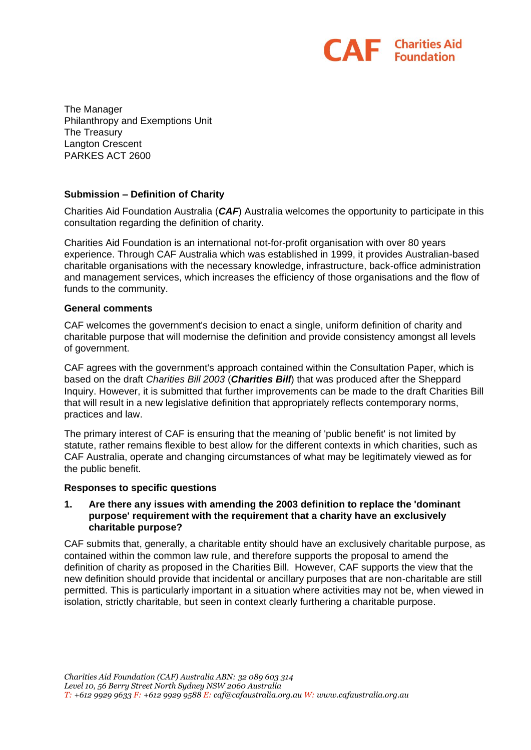

The Manager Philanthropy and Exemptions Unit The Treasury Langton Crescent PARKES ACT 2600

## **Submission – Definition of Charity**

Charities Aid Foundation Australia (*CAF*) Australia welcomes the opportunity to participate in this consultation regarding the definition of charity.

Charities Aid Foundation is an international not-for-profit organisation with over 80 years experience. Through CAF Australia which was established in 1999, it provides Australian-based charitable organisations with the necessary knowledge, infrastructure, back-office administration and management services, which increases the efficiency of those organisations and the flow of funds to the community.

#### **General comments**

CAF welcomes the government's decision to enact a single, uniform definition of charity and charitable purpose that will modernise the definition and provide consistency amongst all levels of government.

CAF agrees with the government's approach contained within the Consultation Paper, which is based on the draft *Charities Bill 2003* (*Charities Bill*) that was produced after the Sheppard Inquiry. However, it is submitted that further improvements can be made to the draft Charities Bill that will result in a new legislative definition that appropriately reflects contemporary norms, practices and law.

The primary interest of CAF is ensuring that the meaning of 'public benefit' is not limited by statute, rather remains flexible to best allow for the different contexts in which charities, such as CAF Australia, operate and changing circumstances of what may be legitimately viewed as for the public benefit.

## **Responses to specific questions**

#### **1. Are there any issues with amending the 2003 definition to replace the 'dominant purpose' requirement with the requirement that a charity have an exclusively charitable purpose?**

CAF submits that, generally, a charitable entity should have an exclusively charitable purpose, as contained within the common law rule, and therefore supports the proposal to amend the definition of charity as proposed in the Charities Bill. However, CAF supports the view that the new definition should provide that incidental or ancillary purposes that are non-charitable are still permitted. This is particularly important in a situation where activities may not be, when viewed in isolation, strictly charitable, but seen in context clearly furthering a charitable purpose.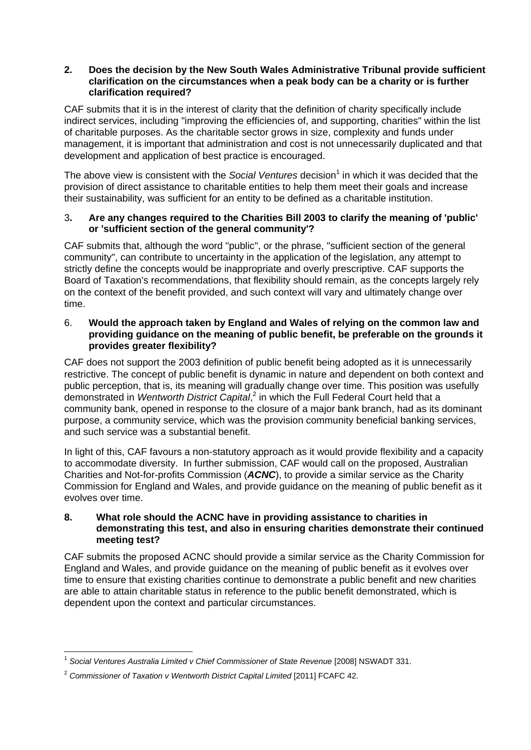#### **2. Does the decision by the New South Wales Administrative Tribunal provide sufficient clarification on the circumstances when a peak body can be a charity or is further clarification required?**

Unimumity Fund Advisory<br>CAF submits that it is in the interest of clarity that the definition of charity specifically include indirect services, including "improving the efficiencies of, and supporting, charities" within the list of charitable purposes. As the charitable sector grows in size, complexity and funds under management, it is important that administration and cost is not unnecessarily duplicated and that development and application of best practice is encouraged.

The above view is consistent with the *Social Ventures* decision<sup>1</sup> in which it was decided that the provision of direct assistance to charitable entities to help them meet their goals and increase their sustainability, was sufficient for an entity to be defined as a charitable institution.

## 3**. Are any changes required to the Charities Bill 2003 to clarify the meaning of 'public' or 'sufficient section of the general community'?**

CAF submits that, although the word "public", or the phrase, "sufficient section of the general community", can contribute to uncertainty in the application of the legislation, any attempt to strictly define the concepts would be inappropriate and overly prescriptive. CAF supports the Board of Taxation's recommendations, that flexibility should remain, as the concepts largely rely on the context of the benefit provided, and such context will vary and ultimately change over time.

## 6. **Would the approach taken by England and Wales of relying on the common law and providing guidance on the meaning of public benefit, be preferable on the grounds it provides greater flexibility?**

CAF does not support the 2003 definition of public benefit being adopted as it is unnecessarily restrictive. The concept of public benefit is dynamic in nature and dependent on both context and public perception, that is, its meaning will gradually change over time. This position was usefully demonstrated in Wentworth District Capital,<sup>2</sup> in which the Full Federal Court held that a community bank, opened in response to the closure of a major bank branch, had as its dominant purpose, a community service, which was the provision community beneficial banking services, and such service was a substantial benefit.

In light of this, CAF favours a non-statutory approach as it would provide flexibility and a capacity to accommodate diversity. In further submission, CAF would call on the proposed, Australian Charities and Not-for-profits Commission (*ACNC*), to provide a similar service as the Charity Commission for England and Wales, and provide guidance on the meaning of public benefit as it evolves over time.

#### **8. What role should the ACNC have in providing assistance to charities in demonstrating this test, and also in ensuring charities demonstrate their continued meeting test?**

CAF submits the proposed ACNC should provide a similar service as the Charity Commission for England and Wales, and provide guidance on the meaning of public benefit as it evolves over time to ensure that existing charities continue to demonstrate a public benefit and new charities are able to attain charitable status in reference to the public benefit demonstrated, which is dependent upon the context and particular circumstances.

 $\overline{a}$ <sup>1</sup> *Social Ventures Australia Limited v Chief Commissioner of State Revenue* [2008] NSWADT 331.

<sup>2</sup> *[Commissioner of Taxation v Wentworth District Capital Limited](http://www.austlii.edu.au/au/cases/cth/FCAFC/2011/42.html)* [2011] FCAFC 42.